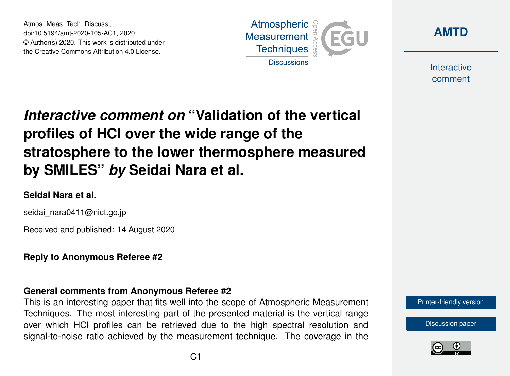Atmos. Meas. Tech. Discuss., doi:10.5194/amt-2020-105-AC1, 2020 © Author(s) 2020. This work is distributed under the Creative Commons Attribution 4.0 License.





Interactive comment

# *Interactive comment on* **"Validation of the vertical profiles of HCl over the wide range of the stratosphere to the lower thermosphere measured by SMILES"** *by* **Seidai Nara et al.**

## **Seidai Nara et al.**

seidai\_nara0411@nict.go.jp

Received and published: 14 August 2020

**Reply to Anonymous Referee #2**

## **General comments from Anonymous Referee #2**

This is an interesting paper that fits well into the scope of Atmospheric Measurement Techniques. The most interesting part of the presented material is the vertical range over which HCl profiles can be retrieved due to the high spectral resolution and signal-to-noise ratio achieved by the measurement technique. The coverage in the [Printer-friendly version](https://amt.copernicus.org/preprints/amt-2020-105/amt-2020-105-AC1-print.pdf)

[Discussion paper](https://amt.copernicus.org/preprints/amt-2020-105)

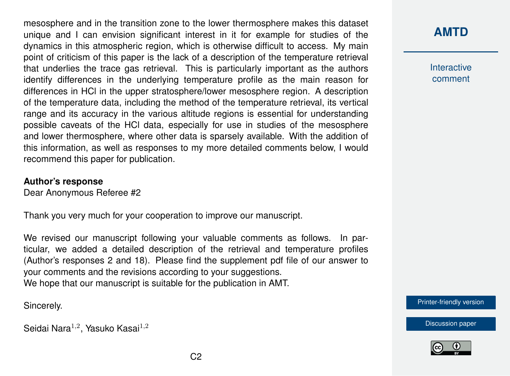mesosphere and in the transition zone to the lower thermosphere makes this dataset unique and I can envision significant interest in it for example for studies of the dynamics in this atmospheric region, which is otherwise difficult to access. My main point of criticism of this paper is the lack of a description of the temperature retrieval that underlies the trace gas retrieval. This is particularly important as the authors identify differences in the underlying temperature profile as the main reason for differences in HCl in the upper stratosphere/lower mesosphere region. A description of the temperature data, including the method of the temperature retrieval, its vertical range and its accuracy in the various altitude regions is essential for understanding possible caveats of the HCl data, especially for use in studies of the mesosphere and lower thermosphere, where other data is sparsely available. With the addition of this information, as well as responses to my more detailed comments below, I would recommend this paper for publication.

#### **Author's response**

Dear Anonymous Referee #2

Thank you very much for your cooperation to improve our manuscript.

We revised our manuscript following your valuable comments as follows. In particular, we added a detailed description of the retrieval and temperature profiles (Author's responses 2 and 18). Please find the supplement pdf file of our answer to your comments and the revisions according to your suggestions. We hope that our manuscript is suitable for the publication in AMT.

Sincerely.

Seidai Nara $^{1,2}$ , Yasuko Kasai $^{1,2}$ 

# **[AMTD](https://amt.copernicus.org/preprints/)**

Interactive comment

[Printer-friendly version](https://amt.copernicus.org/preprints/amt-2020-105/amt-2020-105-AC1-print.pdf)

[Discussion paper](https://amt.copernicus.org/preprints/amt-2020-105)